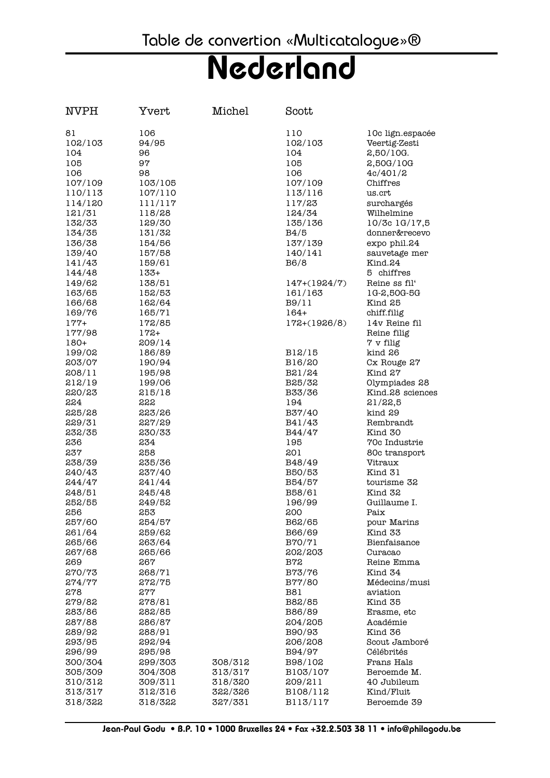| <b>NVPH</b>        | Yvert              | Michel             | Scott               |                                   |
|--------------------|--------------------|--------------------|---------------------|-----------------------------------|
| 81<br>102/103      | 106<br>94/95       |                    | 110<br>102/103      | 10c lign.espacée<br>Veertig-Zesti |
| 104                | 96                 |                    | 104                 | 2,50/10G.                         |
| 105                | 97                 |                    | 105                 | 2,50G/10G                         |
| 106                | 98                 |                    | 106                 | 4c/401/2                          |
| 107/109            | 103/105            |                    | 107/109             | Chiffres                          |
| 110/113            | 107/110            |                    | 113/116             | us.crt                            |
| 114/120            | 111/117            |                    | 117/23              | surchargés                        |
| 121/31             | 118/28             |                    | 124/34              | Wilhelmine                        |
| 132/33             | 129/30             |                    | 135/136<br>B4/5     | 10/3c 1G/17,5<br>donner&recevo    |
| 134/35<br>136/38   | 131/32<br>154/56   |                    | 137/139             | expo phil.24                      |
| 139/40             | 157/58             |                    | 140/141             | sauvetage mer                     |
| 141/43             | 159/61             |                    | B6/8                | Kind.24                           |
| 144/48             | $133+$             |                    |                     | 5 chiffres                        |
| 149/62             | 138/51             |                    | $147+(1924/7)$      | Reine ss fil'                     |
| 163/65             | 152/53             |                    | 161/163             | 1G-2,50G-5G                       |
| 166/68             | 162/64             |                    | B9/11               | Kind 25                           |
| 169/76             | 165/71             |                    | $164+$              | chiff.filig                       |
| $177+$             | 172/85             |                    | $172+(1926/8)$      | 14v Reine fil                     |
| 177/98             | $172+$             |                    |                     | Reine filig                       |
| $180+$             | 209/14             |                    |                     | 7 v filig                         |
| 199/02<br>203/07   | 186/89<br>190/94   |                    | B12/15<br>B16/20    | kind 26<br>Cx Rouge 27            |
| 208/11             | 195/98             |                    | B21/24              | Kind 27                           |
| 212/19             | 199/06             |                    | B25/32              | Olympiades 28                     |
| 220/23             | 215/18             |                    | B33/36              | Kind.28 sciences                  |
| 224                | 222                |                    | 194                 | 21/22,5                           |
| 225/28             | 223/26             |                    | B37/40              | kind 29                           |
| 229/31             | 227/29             |                    | B41/43              | Rembrandt                         |
| 232/35             | 230/33             |                    | B44/47              | Kind 30                           |
| 236                | 234                |                    | 195                 | 70c Industrie                     |
| 237                | 258                |                    | 201                 | 80c transport                     |
| 238/39<br>240/43   | 235/36<br>237/40   |                    | B48/49<br>B50/53    | Vitraux<br>Kind 31                |
| 244/47             | 241/44             |                    | B54/57              | tourisme 32                       |
| 248/51             | 245/48             |                    | B58/61              | Kind 32                           |
| 252/55             | 249/52             |                    | 196/99              | Guillaume I.                      |
| 256                | 253                |                    | 200                 | Paix                              |
| 257/60             | 254/57             |                    | B62/65              | pour Marins                       |
| 261/64             | 259/62             |                    | B66/69              | Kind 33                           |
| 265/66             | 263/64             |                    | B70/71              | Bienfaisance                      |
| 267/68             | 265/66             |                    | 202/203             | Curacao                           |
| 269                | 267                |                    | <b>B72</b>          | Reine Emma<br>Kind 34             |
| 270/73<br>274/77   | 268/71<br>272/75   |                    | B73/76<br>B77/80    | Médecins/musi                     |
| 278                | 277                |                    | <b>B81</b>          | aviation                          |
| 279/82             | 278/81             |                    | B82/85              | Kind 35                           |
| 283/86             | 282/85             |                    | B86/89              | Erasme, etc                       |
| 287/88             | 286/87             |                    | 204/205             | Académie                          |
| 289/92             | 288/91             |                    | B90/93              | Kind 36                           |
| 293/95             | 292/94             |                    | 206/208             | Scout Jamboré                     |
| 296/99             | 295/98             |                    | B94/97              | Célébrités                        |
| 300/304            | 299/303            | 308/312            | B98/102             | Frans Hals                        |
| 305/309            | 304/308            | 313/317            | B103/107            | Beroemde M.                       |
| 310/312<br>313/317 | 309/311<br>312/316 | 318/320<br>322/326 | 209/211<br>B108/112 | 40 Jubileum<br>Kind/Fluit         |
| 318/322            | 318/322            | 327/331            | B113/117            | Beroemde 39                       |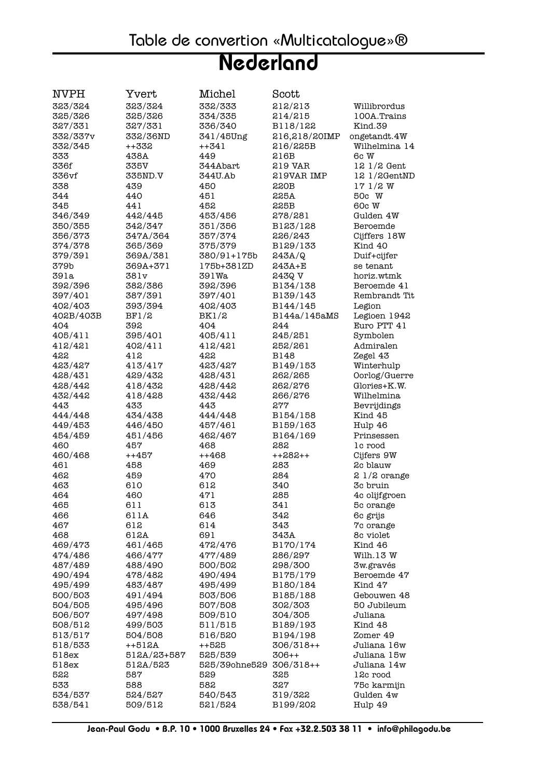| NVPH             | Yvert                 | Michel             | Scott                  |                            |
|------------------|-----------------------|--------------------|------------------------|----------------------------|
| 323/324          | 323/324               | 332/333            | 212/213                | Willibrordus               |
| 325/326          | 325/326               | 334/335            | 214/215                | 100A.Trains                |
| 327/331          | 327/331               | 336/340            | B118/122               | Kind.39                    |
| 332/337v         | 332/36ND              | 341/45Ung          | 216,218/20IMP          | ongetandt.4W               |
| 332/345          | ++332                 | $++341$            | 216/225B               | Wilhelmina 14              |
| 333              | 438A                  | 449                | 216B                   | 6c W                       |
| 336f             | 335V                  | 344Abart           | 219 VAR                | $121/2$ Gent               |
| 336vf            | 335ND.V               | 344U.Ab            | 219VAR IMP             | 121/2GentMD                |
| 338              | 439                   | 450                | 220B                   | 171/2W                     |
| 344              | 440                   | 451                | 225A                   | 50c W                      |
| 345              | 441                   | 452                | 225B                   | 60c W                      |
| 346/349          | 442/445               | 453/456            | 278/281                | Gulden 4W                  |
| 350/355          | 342/347               | 351/356            | B123/128               | Beroemde                   |
| 356/373          | 347A/364              | 357/374            | 226/243                | Cijffers 18W               |
| 374/378          | 365/369               | 375/379            | B129/133               | Kind 40                    |
| 379/391          | 369A/381              | 380/91+175b        | 243A/Q                 | Duif+cijfer                |
| 379b             | 369A+371              | 175b+381ZD         | 243A+E                 | se tenant                  |
| 391a             | 381v                  | 391Wa              | 243Q V                 | horiz.wtmk                 |
| 392/396          | 382/386               | 392/396            | B134/138               | Beroemde 41                |
| 397/401          | 387/391               | 397/401            | B139/143               | Rembrandt Tit              |
| 402/403          | 393/394               | 402/403            | B144/145               | Legion                     |
| 402B/403B        | BF1/2                 | BK1/2              | B144a/145aMS           | Legioen 1942               |
| 404              | 392                   | 404                | 244                    | Euro PTT 41                |
| 405/411          | 395/401               | 405/411            | 245/251                | Symbolen                   |
| 412/421          | 402/411               | 412/421            | 252/261                | Admiralen                  |
| 422              | 412                   | 422                | B148                   | Zegel 43                   |
| 423/427          | 413/417               | 423/427            | B149/153               | Winterhulp                 |
| 428/431          | 429/432               | 428/431            | 262/265                | Oorlog/Guerre              |
| 428/442          | 418/432               | 428/442            | 262/276                | Glories+K.W.               |
| 432/442          | 418/428               | 432/442            | 266/276                | Wilhelmina                 |
| 443              | 433                   | 443                | 277                    | Bevrijdings                |
| 444/448          | 434/438               | 444/448            | B154/158               | Kind 45                    |
| 449/453          | 446/450               | 457/461            | B159/163               | Hulp 46                    |
| 454/459          | 451/456               | 462/467            | B164/169               | Prinsessen                 |
| 460              | 457                   | 468                | 282                    | lc rood                    |
| 460/468          | ++457                 | $++468$            | $++282++$              | Cijfers 9W                 |
| 461              | 458                   | 469                | 283                    | 2c blauw                   |
| 462              | 459                   | 470                | 284                    | $21/2$ orange              |
| 463              | 610                   | 612                | 340                    | 3c bruin                   |
| 464              | 460                   | 471                | 285                    | 4c olijfgroen              |
| 465              | 611                   | 613                | 341                    | 5c orange                  |
| 466              | 611A                  | 646                | 342                    | 6c grijs                   |
| 467              | 612                   | 614                | 343                    | 7c orange                  |
| 468              | 612A                  | 691                | 343A                   | 8c violet                  |
| 469/473          | 461/465               | 472/476            | B170/174               | Kind 46                    |
| 474/486          | 466/477               | 477/489            | 286/297                | Wilh.13 W                  |
| 487/489          | 488/490               | 500/502            | 298/300                | 3w.gravés                  |
| 490/494          | 478/482               | 490/494            | B175/179               | Beroemde 47                |
| 495/499          | 483/487               | 495/499            | B180/184               | Kind 47                    |
| 500/503          | 491/494               | 503/506            | B185/188               | Gebouwen 48                |
| 504/505          | 495/496               | 507/508            | 302/303                | 50 Jubileum                |
| 506/507          | 497/498               | 509/510            | 304/305                | Juliana                    |
| 508/512          | 499/503               | 511/515            | B189/193               | Kind 48                    |
| 513/517          | 504/508               | 516/520            | B194/198               | Zomer 49                   |
| 518/533<br>518ex | ++512A<br>512A/23+587 | $++525$<br>525/539 | $306/318++$<br>$306++$ | Juliana 16w<br>Juliana 15w |
| 518ex            | 512A/523              | 525/39ohne529      | $306/318++$            | Juliana 14w                |
| 522              | 587                   | 529                | 325                    | 12c rood                   |
| 533              | 588                   | 582                | 327                    | 75c karmijn                |
| 534/537          | 524/527               | 540/543            | 319/322                | Gulden 4w                  |
| 538/541          | 509/512               | 521/524            | B199/202               | Hulp 49                    |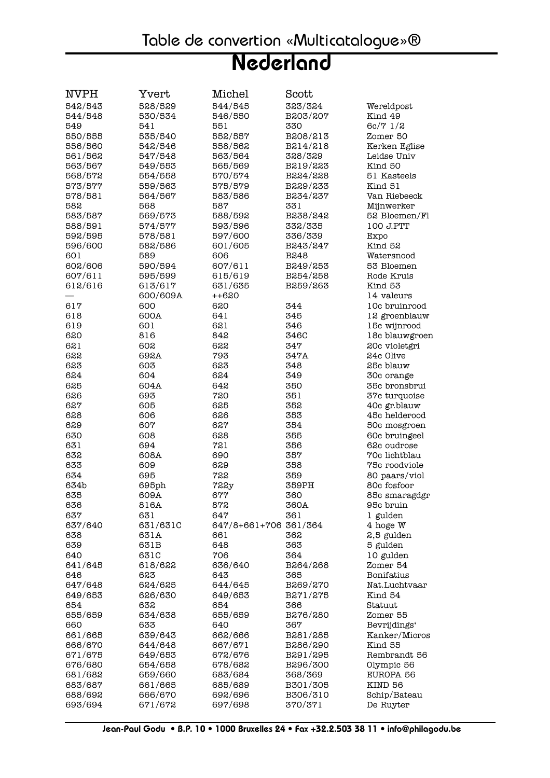| NVPH               | Yvert              | Michel                | Scott                |                          |
|--------------------|--------------------|-----------------------|----------------------|--------------------------|
| 542/543            | 528/529            | 544/545               | 323/324              | Wereldpost               |
| 544/548            | 530/534            | 546/550               | B203/207             | Kind 49                  |
| 549                | 541                | 551                   | 330                  | 6c/71/2                  |
| 550/555            | 535/540            | 552/557               | B208/213             | Zomer 50                 |
| 556/560            | 542/546            | 558/562               | B214/218             | Kerken Eglise            |
| 561/562            | 547/548            | 563/564               | 328/329              | Leidse Univ              |
| 563/567            | 549/553            | 565/569               | B219/223             | Kind 50                  |
| 568/572            | 554/558            | 570/574               | B224/228             | 51 Kasteels              |
| 573/577            | 559/563            | 575/579               | B229/233             | Kind 51                  |
| 578/581            | 564/567            | 583/586               | B234/237             | Van Riebeeck             |
| 582                | 568                | 587                   | 331                  | Mijnwerker               |
| 583/587            | 569/573            | 588/592               | B238/242             | 52 Bloemen/Fl            |
| 588/591            | 574/577            | 593/596               | 332/335              | 100 J.PTT                |
| 592/595            | 578/581            | 597/600               | 336/339              | Expo                     |
| 596/600            | 582/586            | 601/605               | B243/247             | Kind 52                  |
| 601                | 589                | 606                   | B248                 | Watersnood               |
| 602/606            | 590/594            | 607/611               | B249/253             | 53 Bloemen               |
| 607/611            | 595/599            | 615/619               | B254/258             | Rode Kruis               |
| 612/616            | 613/617            | 631/635               | B259/263             | Kind 53                  |
|                    | 600/609A           | $++620$               |                      | 14 valeurs               |
| 617                | 600                | 620                   | 344                  | 10c bruinrood            |
| 618                | 600A               | 641                   | 345                  | 12 groenblauw            |
| 619                | 601                | 621                   | 346                  | 15c wijnrood             |
| 620                | 816                | 842                   | 346C                 | 18c blauwgroen           |
| 621                | 602                | 622                   | 347                  | 20c violetgri            |
| 622                | 692A               | 793                   | 347A                 | 24c Olive                |
| 623                | 603                | 623                   | 348                  | 25c blauw                |
| 624                | 604                | 624                   | 349                  | 30c orange               |
| 625                | 604A               | 642                   | 350                  | 35c bronsbrui            |
| 626                | 693                | 720                   | 351                  | 37c turquoise            |
| 627                | 605                | 625                   | 352                  | 40c gr.blauw             |
| 628                | 606                | 626                   | 353                  | 45c helderood            |
| 629                | 607                | 627                   | 354                  | 50c mosgroen             |
| 630                | 608                | 628                   | 355                  | 60c bruingeel            |
| 631                | 694                | 721                   | 356                  | 62c oudrose              |
| 632                | 608A               | 690                   | 357                  | 70c lichtblau            |
| 633                | 609                | 629                   | 358                  | 75c roodviole            |
| 634                | 695                | 722                   | 359                  | 80 paars/viol            |
| 634b               | 695ph              | <b>722y</b>           | 359PH                | 80c fosfoor              |
| 635                | 609A               | 677                   | 360                  | 85c smaragdgr            |
| 636                | 816A               | 872                   | 360A                 | 95c bruin                |
| 637                | 631                | 647                   | 361                  | 1 gulden                 |
| 637/640            | 631/631C           | 647/8+661+706 361/364 |                      | 4 hoge W                 |
| 638                | 631A               | 661                   | 362                  | 2,5 gulden               |
| 639                | 631B               | 648                   | 363                  | 5 gulden                 |
| 640                | 631C               | 706                   | 364                  | 10 gulden                |
| 641/645            | 618/622            | 636/640               | B264/268             | Zomer 54                 |
| 646                | 623                | 643                   | 365                  | Bonifatius               |
| 647/648            | 624/625            | 644/645               | B269/270             | Nat.Luchtvaar            |
| 649/653            | 626/630            | 649/653               | B271/275             | Kind 54                  |
| 654<br>655/659     | 632<br>634/638     | 654                   | 366                  | Statuut                  |
|                    |                    | 655/659<br>640        | B276/280<br>367      | Zomer 55                 |
| 660                | 633                |                       |                      | Bevrijdings'             |
| 661/665            | 639/643            | 662/666               | B281/285             | Kanker/Micros<br>Kind 55 |
| 666/670<br>671/675 | 644/648<br>649/653 | 667/671<br>672/676    | B286/290<br>B291/295 | Rembrandt 56             |
| 676/680            | 654/658            | 678/682               | B296/300             |                          |
| 681/682            | 659/660            | 683/684               | 368/369              | Olympic 56<br>EUROPA 56  |
| 683/687            | 661/665            | 685/689               | B301/305             | KIND 56                  |
| 688/692            | 666/670            | 692/696               | B306/310             | Schip/Bateau             |
| 693/694            | 671/672            | 697/698               | 370/371              | De Ruyter                |
|                    |                    |                       |                      |                          |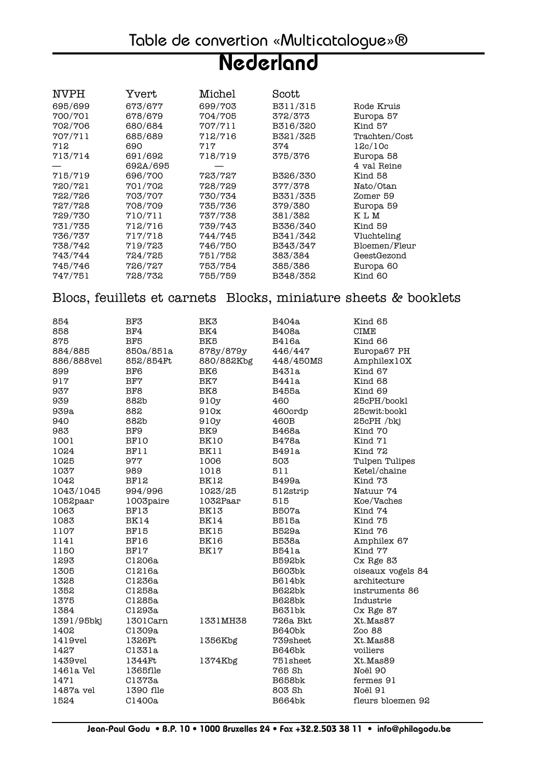| <b>NVPH</b> | Yvert    | Michel  | Scott    |                      |
|-------------|----------|---------|----------|----------------------|
| 695/699     | 673/677  | 699/703 | B311/315 | Rode Kruis           |
| 700/701     | 678/679  | 704/705 | 372/373  | Europa <sub>57</sub> |
| 702/706     | 680/684  | 707/711 | B316/320 | Kind 57              |
| 707/711     | 685/689  | 712/716 | B321/325 | Trachten/Cost        |
| 712         | 690      | 717     | 374      | 12c/10c              |
| 713/714     | 691/692  | 718/719 | 375/376  | Europa <sub>58</sub> |
|             | 692A/695 |         |          | 4 val Reine          |
| 715/719     | 696/700  | 723/727 | B326/330 | Kind 58              |
| 720/721     | 701/702  | 728/729 | 377/378  | Nato/Otan            |
| 722/726     | 703/707  | 730/734 | B331/335 | Zomer 59             |
| 727/728     | 708/709  | 735/736 | 379/380  | Europa 59            |
| 729/730     | 710/711  | 737/738 | 381/382  | <b>KLM</b>           |
| 731/735     | 712/716  | 739/743 | B336/340 | Kind 59              |
| 736/737     | 717/718  | 744/745 | B341/342 | Vluchteling          |
| 738/742     | 719/723  | 746/750 | B343/347 | Bloemen/Fleur        |
| 743/744     | 724/725  | 751/752 | 383/384  | GeestGezond          |
| 745/746     | 726/727  | 753/754 | 385/386  | Europa <sub>60</sub> |
| 747/751     | 728/732  | 755/759 | B348/352 | Kind 60              |

Blocs, feuillets et carnets Blocks, miniature sheets & booklets

| 854        | BF3             | BK3             | B404a         | Kind 65           |
|------------|-----------------|-----------------|---------------|-------------------|
| 858        | BF4             | BK4             | B408a         | <b>CIME</b>       |
| 875        | BF5             | BK5             | B416a         | Kind 66           |
| 884/885    | 850a/851a       | 878y/879y       | 446/447       | Europa67 PH       |
| 886/888vel | 852/854Ft       | 880/882Kbg      | 448/450MS     | Amphilex10X       |
| 899        | BF <sub>6</sub> | BK6             | <b>B431a</b>  | Kind 67           |
| 917        | BF7             | BK7             | B441a         | Kind 68           |
| 937        | BF <sub>8</sub> | BK <sub>8</sub> | B455a         | Kind 69           |
| 939        | 882b            | 910y            | 460           | 25cPH/bookl       |
| 939a       | 882             | 910x            | 460ordp       | 25cwit:bookl      |
| 940        | 882b            | 910y            | 460B          | 25cPH /bkj        |
| 983        | BF9             | BK9             | B468a         | Kind 70           |
| 1001       | BF10            | BK10            | B478a         | Kind 71           |
| 1024       | BF11            | BK11            | <b>B491a</b>  | Kind 72           |
| 1025       | 977             | 1006            | 503           | Tulpen Tulipes    |
| 1037       | 989             | 1018            | 511           | Ketel/chaine      |
| 1042       | BF12            | BK12            | B499a         | Kind 73           |
| 1043/1045  | 994/996         | 1023/25         | 512strip      | Natuur 74         |
| 1052paar   | 1003paire       | 1032Paar        | 515           | Koe/Vaches        |
| 1063       | BF13            | BK13            | B507a         | Kind 74           |
| 1083       | BK14            | BK14            | <b>B515a</b>  | Kind 75           |
| 1107       | BF15            | BK15            | B529a         | Kind 76           |
| 1141       | BF16            | BK16            | <b>B538a</b>  | Amphilex 67       |
| 1150       | BF17            | BK17            | <b>B541a</b>  | Kind 77           |
| 1293       | C1206a          |                 | <b>B592bk</b> | Cx Rge 83         |
| 1305       | C1216a          |                 | <b>B603bk</b> | oiseaux vogels 84 |
| 1328       | C1236a          |                 | <b>B614bk</b> | architecture      |
| 1352       | C1258a          |                 | <b>B622bk</b> | instruments 86    |
| 1375       | C1285a          |                 | <b>B628bk</b> | Industrie         |
| 1384       | C1293a          |                 | <b>B631bk</b> | Cx Rge 87         |
| 1391/95bkj | 1301Carn        | 1331MH38        | 726a Bkt      | Xt.Mas87          |
| 1402       | C1309a          |                 | B640bk        | Zoo 88            |
| 1419vel    | 1326Ft          | 1356Kbg         | 739sheet      | Xt.Mas88          |
| 1427       | C1331a          |                 | B646bk        | voiliers          |
| 1439vel    | 1344Ft          | 1374Kbg         | 751sheet      | Xt.Mas89          |
| 1461a Vel  | 1365flle        |                 | 765 Sh        | Noël 90           |
| 1471       | C1373a          |                 | <b>B658bk</b> | fermes 91         |
| 1487a vel  | 1390 flle       |                 | 803 Sh        | Noël 91           |
| 1524       | C1400a          |                 | <b>B664bk</b> | fleurs bloemen 92 |